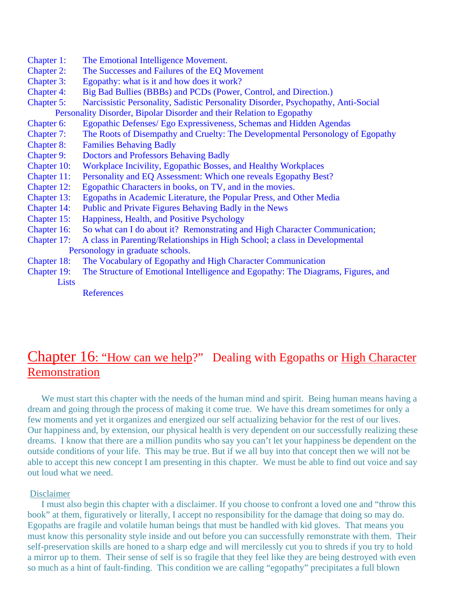- Chapter 1: The Emotional Intelligence Movement.
- Chapter 2: The Successes and Failures of the EQ Movement
- Chapter 3: Egopathy: what is it and how does it work?
- Chapter 4: Big Bad Bullies (BBBs) and PCDs (Power, Control, and Direction.)
- Chapter 5: Narcissistic Personality, Sadistic Personality Disorder, Psychopathy, Anti-Social
- Personality Disorder, Bipolar Disorder and their Relation to Egopathy
- Chapter 6: Egopathic Defenses/ Ego Expressiveness, Schemas and Hidden Agendas
- Chapter 7: The Roots of Disempathy and Cruelty: The Developmental Personology of Egopathy
- Chapter 8: Families Behaving Badly
- Chapter 9: Doctors and Professors Behaving Badly
- Chapter 10: Workplace Incivility, Egopathic Bosses, and Healthy Workplaces
- Chapter 11: Personality and EQ Assessment: Which one reveals Egopathy Best?
- Chapter 12: Egopathic Characters in books, on TV, and in the movies.
- Chapter 13: Egopaths in Academic Literature, the Popular Press, and Other Media
- Chapter 14: Public and Private Figures Behaving Badly in the News
- Chapter 15: Happiness, Health, and Positive Psychology
- Chapter 16: So what can I do about it? Remonstrating and High Character Communication;
- Chapter 17: A class in Parenting/Relationships in High School; a class in Developmental Personology in graduate schools.
- Chapter 18: The Vocabulary of Egopathy and High Character Communication
- Chapter 19: The Structure of Emotional Intelligence and Egopathy: The Diagrams, Figures, and Lists

**References** 

# Chapter 16: "How can we help?" Dealing with Egopaths or High Character Remonstration

We must start this chapter with the needs of the human mind and spirit. Being human means having a dream and going through the process of making it come true. We have this dream sometimes for only a few moments and yet it organizes and energized our self actualizing behavior for the rest of our lives. Our happiness and, by extension, our physical health is very dependent on our successfully realizing these dreams. I know that there are a million pundits who say you can't let your happiness be dependent on the outside conditions of your life. This may be true. But if we all buy into that concept then we will not be able to accept this new concept I am presenting in this chapter. We must be able to find out voice and say out loud what we need.

# Disclaimer

 I must also begin this chapter with a disclaimer. If you choose to confront a loved one and "throw this book" at them, figuratively or literally, I accept no responsibility for the damage that doing so may do. Egopaths are fragile and volatile human beings that must be handled with kid gloves. That means you must know this personality style inside and out before you can successfully remonstrate with them. Their self-preservation skills are honed to a sharp edge and will mercilessly cut you to shreds if you try to hold a mirror up to them. Their sense of self is so fragile that they feel like they are being destroyed with even so much as a hint of fault-finding. This condition we are calling "egopathy" precipitates a full blown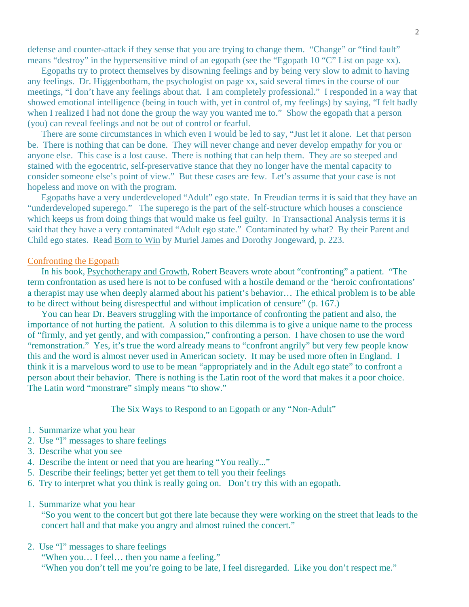defense and counter-attack if they sense that you are trying to change them. "Change" or "find fault" means "destroy" in the hypersensitive mind of an egopath (see the "Egopath 10 "C" List on page xx).

 Egopaths try to protect themselves by disowning feelings and by being very slow to admit to having any feelings. Dr. Higgenbotham, the psychologist on page xx, said several times in the course of our meetings, "I don't have any feelings about that. I am completely professional." I responded in a way that showed emotional intelligence (being in touch with, yet in control of, my feelings) by saying, "I felt badly when I realized I had not done the group the way you wanted me to." Show the egopath that a person (you) can reveal feelings and not be out of control or fearful.

 There are some circumstances in which even I would be led to say, "Just let it alone. Let that person be. There is nothing that can be done. They will never change and never develop empathy for you or anyone else. This case is a lost cause. There is nothing that can help them. They are so steeped and stained with the egocentric, self-preservative stance that they no longer have the mental capacity to consider someone else's point of view." But these cases are few. Let's assume that your case is not hopeless and move on with the program.

 Egopaths have a very underdeveloped "Adult" ego state. In Freudian terms it is said that they have an "underdeveloped superego." The superego is the part of the self-structure which houses a conscience which keeps us from doing things that would make us feel guilty. In Transactional Analysis terms it is said that they have a very contaminated "Adult ego state." Contaminated by what? By their Parent and Child ego states. Read Born to Win by Muriel James and Dorothy Jongeward, p. 223.

#### Confronting the Egopath

 In his book, Psychotherapy and Growth, Robert Beavers wrote about "confronting" a patient. "The term confrontation as used here is not to be confused with a hostile demand or the 'heroic confrontations' a therapist may use when deeply alarmed about his patient's behavior… The ethical problem is to be able to be direct without being disrespectful and without implication of censure" (p. 167.)

 You can hear Dr. Beavers struggling with the importance of confronting the patient and also, the importance of not hurting the patient. A solution to this dilemma is to give a unique name to the process of "firmly, and yet gently, and with compassion," confronting a person. I have chosen to use the word "remonstration." Yes, it's true the word already means to "confront angrily" but very few people know this and the word is almost never used in American society. It may be used more often in England. I think it is a marvelous word to use to be mean "appropriately and in the Adult ego state" to confront a person about their behavior. There is nothing is the Latin root of the word that makes it a poor choice. The Latin word "monstrare" simply means "to show."

The Six Ways to Respond to an Egopath or any "Non-Adult"

- 1. Summarize what you hear
- 2. Use "I" messages to share feelings
- 3. Describe what you see
- 4. Describe the intent or need that you are hearing "You really..."
- 5. Describe their feelings; better yet get them to tell you their feelings
- 6. Try to interpret what you think is really going on. Don't try this with an egopath.
- 1. Summarize what you hear

"So you went to the concert but got there late because they were working on the street that leads to the concert hall and that make you angry and almost ruined the concert."

2. Use "I" messages to share feelings

"When you… I feel… then you name a feeling."

"When you don't tell me you're going to be late, I feel disregarded. Like you don't respect me."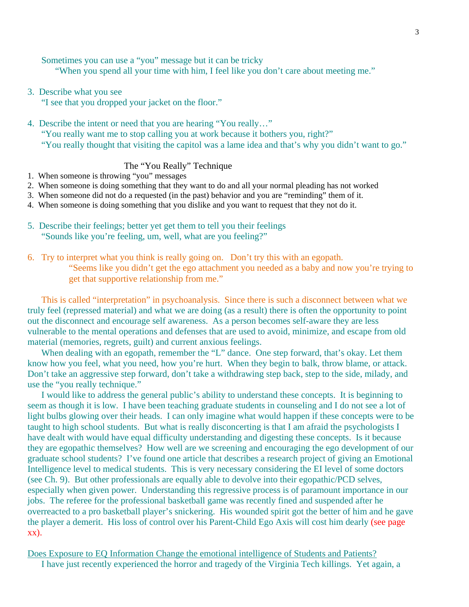Sometimes you can use a "you" message but it can be tricky

"When you spend all your time with him, I feel like you don't care about meeting me."

3. Describe what you see

"I see that you dropped your jacket on the floor."

4. Describe the intent or need that you are hearing "You really…"

"You really want me to stop calling you at work because it bothers you, right?"

"You really thought that visiting the capitol was a lame idea and that's why you didn't want to go."

# The "You Really" Technique

- 1. When someone is throwing "you" messages
- 2. When someone is doing something that they want to do and all your normal pleading has not worked
- 3. When someone did not do a requested (in the past) behavior and you are "reminding" them of it.
- 4. When someone is doing something that you dislike and you want to request that they not do it.
- 5. Describe their feelings; better yet get them to tell you their feelings "Sounds like you're feeling, um, well, what are you feeling?"
- 6. Try to interpret what you think is really going on. Don't try this with an egopath. "Seems like you didn't get the ego attachment you needed as a baby and now you're trying to get that supportive relationship from me."

 This is called "interpretation" in psychoanalysis. Since there is such a disconnect between what we truly feel (repressed material) and what we are doing (as a result) there is often the opportunity to point out the disconnect and encourage self awareness. As a person becomes self-aware they are less vulnerable to the mental operations and defenses that are used to avoid, minimize, and escape from old material (memories, regrets, guilt) and current anxious feelings.

When dealing with an egopath, remember the "L" dance. One step forward, that's okay. Let them know how you feel, what you need, how you're hurt. When they begin to balk, throw blame, or attack. Don't take an aggressive step forward, don't take a withdrawing step back, step to the side, milady, and use the "you really technique."

 I would like to address the general public's ability to understand these concepts. It is beginning to seem as though it is low. I have been teaching graduate students in counseling and I do not see a lot of light bulbs glowing over their heads. I can only imagine what would happen if these concepts were to be taught to high school students. But what is really disconcerting is that I am afraid the psychologists I have dealt with would have equal difficulty understanding and digesting these concepts. Is it because they are egopathic themselves? How well are we screening and encouraging the ego development of our graduate school students? I've found one article that describes a research project of giving an Emotional Intelligence level to medical students. This is very necessary considering the EI level of some doctors (see Ch. 9). But other professionals are equally able to devolve into their egopathic/PCD selves, especially when given power. Understanding this regressive process is of paramount importance in our jobs. The referee for the professional basketball game was recently fined and suspended after he overreacted to a pro basketball player's snickering. His wounded spirit got the better of him and he gave the player a demerit. His loss of control over his Parent-Child Ego Axis will cost him dearly (see page xx).

Does Exposure to EQ Information Change the emotional intelligence of Students and Patients? I have just recently experienced the horror and tragedy of the Virginia Tech killings. Yet again, a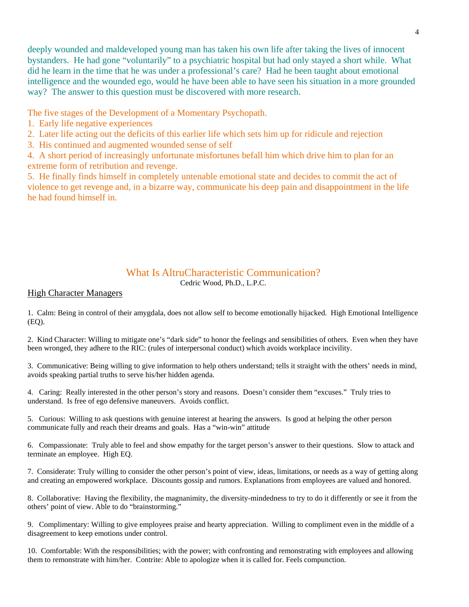deeply wounded and maldeveloped young man has taken his own life after taking the lives of innocent bystanders. He had gone "voluntarily" to a psychiatric hospital but had only stayed a short while. What did he learn in the time that he was under a professional's care? Had he been taught about emotional intelligence and the wounded ego, would he have been able to have seen his situation in a more grounded way? The answer to this question must be discovered with more research.

The five stages of the Development of a Momentary Psychopath.

- 1. Early life negative experiences
- 2. Later life acting out the deficits of this earlier life which sets him up for ridicule and rejection
- 3. His continued and augmented wounded sense of self

4. A short period of increasingly unfortunate misfortunes befall him which drive him to plan for an extreme form of retribution and revenge.

5. He finally finds himself in completely untenable emotional state and decides to commit the act of violence to get revenge and, in a bizarre way, communicate his deep pain and disappointment in the life he had found himself in.

# What Is AltruCharacteristic Communication?

Cedric Wood, Ph.D., L.P.C.

# High Character Managers

1. Calm: Being in control of their amygdala, does not allow self to become emotionally hijacked. High Emotional Intelligence  $(EO).$ 

2. Kind Character: Willing to mitigate one's "dark side" to honor the feelings and sensibilities of others. Even when they have been wronged, they adhere to the RIC: (rules of interpersonal conduct) which avoids workplace incivility.

3. Communicative: Being willing to give information to help others understand; tells it straight with the others' needs in mind, avoids speaking partial truths to serve his/her hidden agenda.

4. Caring: Really interested in the other person's story and reasons. Doesn't consider them "excuses." Truly tries to understand. Is free of ego defensive maneuvers. Avoids conflict.

5. Curious: Willing to ask questions with genuine interest at hearing the answers. Is good at helping the other person communicate fully and reach their dreams and goals. Has a "win-win" attitude

6. Compassionate: Truly able to feel and show empathy for the target person's answer to their questions. Slow to attack and terminate an employee. High EQ.

7. Considerate: Truly willing to consider the other person's point of view, ideas, limitations, or needs as a way of getting along and creating an empowered workplace. Discounts gossip and rumors. Explanations from employees are valued and honored.

8. Collaborative: Having the flexibility, the magnanimity, the diversity-mindedness to try to do it differently or see it from the others' point of view. Able to do "brainstorming."

9. Complimentary: Willing to give employees praise and hearty appreciation. Willing to compliment even in the middle of a disagreement to keep emotions under control.

10. Comfortable: With the responsibilities; with the power; with confronting and remonstrating with employees and allowing them to remonstrate with him/her. Contrite: Able to apologize when it is called for. Feels compunction.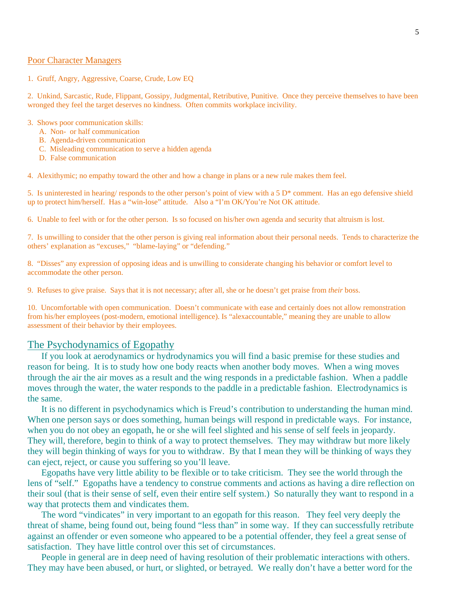### Poor Character Managers

1. Gruff, Angry, Aggressive, Coarse, Crude, Low EQ

2. Unkind, Sarcastic, Rude, Flippant, Gossipy, Judgmental, Retributive, Punitive. Once they perceive themselves to have been wronged they feel the target deserves no kindness. Often commits workplace incivility.

#### 3. Shows poor communication skills:

- A. Non- or half communication
- B. Agenda-driven communication
- C. Misleading communication to serve a hidden agenda
- D. False communication

4. Alexithymic; no empathy toward the other and how a change in plans or a new rule makes them feel.

5. Is uninterested in hearing/ responds to the other person's point of view with a  $5 \text{ D}^*$  comment. Has an ego defensive shield up to protect him/herself. Has a "win-lose" attitude. Also a "I'm OK/You're Not OK attitude.

6. Unable to feel with or for the other person. Is so focused on his/her own agenda and security that altruism is lost.

7. Is unwilling to consider that the other person is giving real information about their personal needs. Tends to characterize the others' explanation as "excuses," "blame-laying" or "defending."

8. "Disses" any expression of opposing ideas and is unwilling to considerate changing his behavior or comfort level to accommodate the other person.

9. Refuses to give praise. Says that it is not necessary; after all, she or he doesn't get praise from *their* boss.

10. Uncomfortable with open communication. Doesn't communicate with ease and certainly does not allow remonstration from his/her employees (post-modern, emotional intelligence). Is "alexaccountable," meaning they are unable to allow assessment of their behavior by their employees.

# The Psychodynamics of Egopathy

 If you look at aerodynamics or hydrodynamics you will find a basic premise for these studies and reason for being. It is to study how one body reacts when another body moves. When a wing moves through the air the air moves as a result and the wing responds in a predictable fashion. When a paddle moves through the water, the water responds to the paddle in a predictable fashion. Electrodynamics is the same.

 It is no different in psychodynamics which is Freud's contribution to understanding the human mind. When one person says or does something, human beings will respond in predictable ways. For instance, when you do not obey an egopath, he or she will feel slighted and his sense of self feels in jeopardy. They will, therefore, begin to think of a way to protect themselves. They may withdraw but more likely they will begin thinking of ways for you to withdraw. By that I mean they will be thinking of ways they can eject, reject, or cause you suffering so you'll leave.

 Egopaths have very little ability to be flexible or to take criticism. They see the world through the lens of "self." Egopaths have a tendency to construe comments and actions as having a dire reflection on their soul (that is their sense of self, even their entire self system.) So naturally they want to respond in a way that protects them and vindicates them.

 The word "vindicates" in very important to an egopath for this reason. They feel very deeply the threat of shame, being found out, being found "less than" in some way. If they can successfully retribute against an offender or even someone who appeared to be a potential offender, they feel a great sense of satisfaction. They have little control over this set of circumstances.

 People in general are in deep need of having resolution of their problematic interactions with others. They may have been abused, or hurt, or slighted, or betrayed. We really don't have a better word for the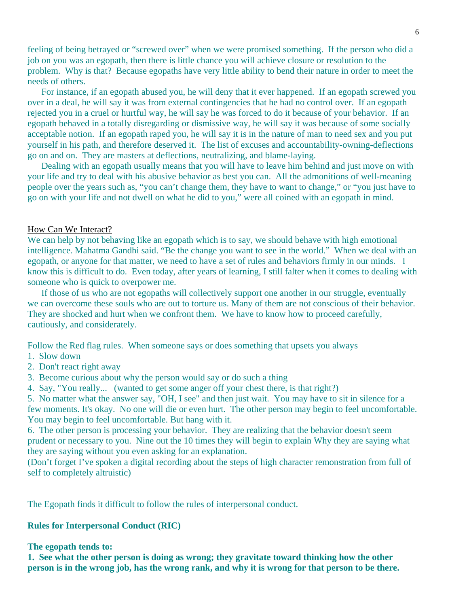feeling of being betrayed or "screwed over" when we were promised something. If the person who did a job on you was an egopath, then there is little chance you will achieve closure or resolution to the problem. Why is that? Because egopaths have very little ability to bend their nature in order to meet the needs of others.

 For instance, if an egopath abused you, he will deny that it ever happened. If an egopath screwed you over in a deal, he will say it was from external contingencies that he had no control over. If an egopath rejected you in a cruel or hurtful way, he will say he was forced to do it because of your behavior. If an egopath behaved in a totally disregarding or dismissive way, he will say it was because of some socially acceptable notion. If an egopath raped you, he will say it is in the nature of man to need sex and you put yourself in his path, and therefore deserved it. The list of excuses and accountability-owning-deflections go on and on. They are masters at deflections, neutralizing, and blame-laying.

 Dealing with an egopath usually means that you will have to leave him behind and just move on with your life and try to deal with his abusive behavior as best you can. All the admonitions of well-meaning people over the years such as, "you can't change them, they have to want to change," or "you just have to go on with your life and not dwell on what he did to you," were all coined with an egopath in mind.

# How Can We Interact?

We can help by not behaving like an egopath which is to say, we should behave with high emotional intelligence. Mahatma Gandhi said. "Be the change you want to see in the world." When we deal with an egopath, or anyone for that matter, we need to have a set of rules and behaviors firmly in our minds. I know this is difficult to do. Even today, after years of learning, I still falter when it comes to dealing with someone who is quick to overpower me.

 If those of us who are not egopaths will collectively support one another in our struggle, eventually we can overcome these souls who are out to torture us. Many of them are not conscious of their behavior. They are shocked and hurt when we confront them. We have to know how to proceed carefully, cautiously, and considerately.

Follow the Red flag rules. When someone says or does something that upsets you always

- 1. Slow down
- 2. Don't react right away
- 3. Become curious about why the person would say or do such a thing
- 4. Say, "You really... (wanted to get some anger off your chest there, is that right?)

5. No matter what the answer say, "OH, I see" and then just wait. You may have to sit in silence for a few moments. It's okay. No one will die or even hurt. The other person may begin to feel uncomfortable. You may begin to feel uncomfortable. But hang with it.

6. The other person is processing your behavior. They are realizing that the behavior doesn't seem prudent or necessary to you. Nine out the 10 times they will begin to explain Why they are saying what they are saying without you even asking for an explanation.

(Don't forget I've spoken a digital recording about the steps of high character remonstration from full of self to completely altruistic)

The Egopath finds it difficult to follow the rules of interpersonal conduct.

#### **Rules for Interpersonal Conduct (RIC)**

### **The egopath tends to:**

**1. See what the other person is doing as wrong; they gravitate toward thinking how the other person is in the wrong job, has the wrong rank, and why it is wrong for that person to be there.**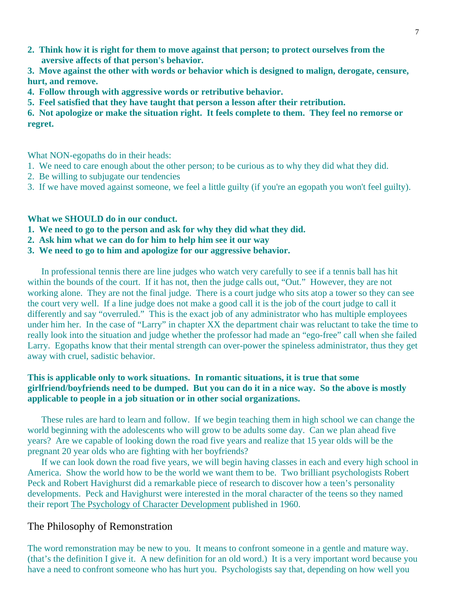**2. Think how it is right for them to move against that person; to protect ourselves from the aversive affects of that person's behavior.** 

**3. Move against the other with words or behavior which is designed to malign, derogate, censure, hurt, and remove.** 

- **4. Follow through with aggressive words or retributive behavior.**
- **5. Feel satisfied that they have taught that person a lesson after their retribution.**

**6. Not apologize or make the situation right. It feels complete to them. They feel no remorse or regret.** 

What NON-egopaths do in their heads:

- 1. We need to care enough about the other person; to be curious as to why they did what they did.
- 2. Be willing to subjugate our tendencies
- 3. If we have moved against someone, we feel a little guilty (if you're an egopath you won't feel guilty).

# **What we SHOULD do in our conduct.**

- **1. We need to go to the person and ask for why they did what they did.**
- **2. Ask him what we can do for him to help him see it our way**
- **3. We need to go to him and apologize for our aggressive behavior.**

 In professional tennis there are line judges who watch very carefully to see if a tennis ball has hit within the bounds of the court. If it has not, then the judge calls out, "Out." However, they are not working alone. They are not the final judge. There is a court judge who sits atop a tower so they can see the court very well. If a line judge does not make a good call it is the job of the court judge to call it differently and say "overruled." This is the exact job of any administrator who has multiple employees under him her. In the case of "Larry" in chapter XX the department chair was reluctant to take the time to really look into the situation and judge whether the professor had made an "ego-free" call when she failed Larry. Egopaths know that their mental strength can over-power the spineless administrator, thus they get away with cruel, sadistic behavior.

# **This is applicable only to work situations. In romantic situations, it is true that some girlfriend/boyfriends need to be dumped. But you can do it in a nice way. So the above is mostly applicable to people in a job situation or in other social organizations.**

 These rules are hard to learn and follow. If we begin teaching them in high school we can change the world beginning with the adolescents who will grow to be adults some day. Can we plan ahead five years? Are we capable of looking down the road five years and realize that 15 year olds will be the pregnant 20 year olds who are fighting with her boyfriends?

 If we can look down the road five years, we will begin having classes in each and every high school in America. Show the world how to be the world we want them to be. Two brilliant psychologists Robert Peck and Robert Havighurst did a remarkable piece of research to discover how a teen's personality developments. Peck and Havighurst were interested in the moral character of the teens so they named their report The Psychology of Character Development published in 1960.

# The Philosophy of Remonstration

The word remonstration may be new to you. It means to confront someone in a gentle and mature way. (that's the definition I give it. A new definition for an old word.) It is a very important word because you have a need to confront someone who has hurt you. Psychologists say that, depending on how well you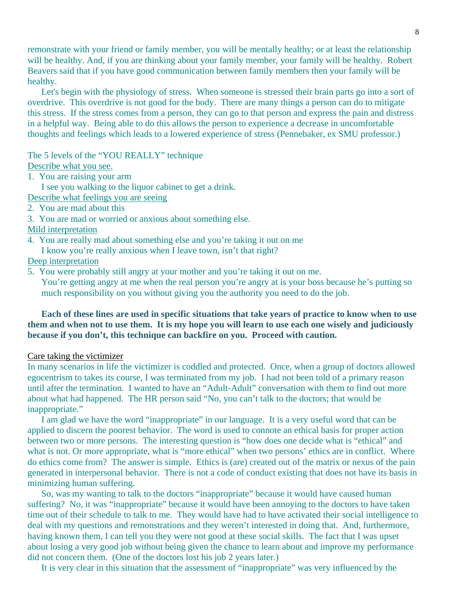remonstrate with your friend or family member, you will be mentally healthy; or at least the relationship will be healthy. And, if you are thinking about your family member, your family will be healthy. Robert Beavers said that if you have good communication between family members then your family will be healthy.

 Let's begin with the physiology of stress. When someone is stressed their brain parts go into a sort of overdrive. This overdrive is not good for the body. There are many things a person can do to mitigate this stress. If the stress comes from a person, they can go to that person and express the pain and distress in a helpful way. Being able to do this allows the person to experience a decrease in uncomfortable thoughts and feelings which leads to a lowered experience of stress (Pennebaker, ex SMU professor.)

The 5 levels of the "YOU REALLY" technique

Describe what you see.

1. You are raising your arm

I see you walking to the liquor cabinet to get a drink.

- Describe what feelings you are seeing
- 2. You are mad about this
- 3. You are mad or worried or anxious about something else.

# Mild interpretation

- 4. You are really mad about something else and you're taking it out on me
- I know you're really anxious when I leave town, isn't that right?

# Deep interpretation

5. You were probably still angry at your mother and you're taking it out on me.

 You're getting angry at me when the real person you're angry at is your boss because he's putting so much responsibility on you without giving you the authority you need to do the job.

# **Each of these lines are used in specific situations that take years of practice to know when to use them and when not to use them. It is my hope you will learn to use each one wisely and judiciously because if you don't, this technique can backfire on you. Proceed with caution.**

### Care taking the victimizer

In many scenarios in life the victimizer is coddled and protected. Once, when a group of doctors allowed egocentrism to takes its course, I was terminated from my job. I had not been told of a primary reason until after the termination. I wanted to have an "Adult-Adult" conversation with them to find out more about what had happened. The HR person said "No, you can't talk to the doctors; that would be inappropriate."

 I am glad we have the word "inappropriate" in our language. It is a very useful word that can be applied to discern the poorest behavior. The word is used to connote an ethical basis for proper action between two or more persons. The interesting question is "how does one decide what is "ethical" and what is not. Or more appropriate, what is "more ethical" when two persons' ethics are in conflict. Where do ethics come from? The answer is simple. Ethics is (are) created out of the matrix or nexus of the pain generated in interpersonal behavior. There is not a code of conduct existing that does not have its basis in minimizing human suffering.

 So, was my wanting to talk to the doctors "inappropriate" because it would have caused human suffering? No, it was "inappropriate" because it would have been annoying to the doctors to have taken time out of their schedule to talk to me. They would have had to have activated their social intelligence to deal with my questions and remonstrations and they weren't interested in doing that. And, furthermore, having known them, I can tell you they were not good at these social skills. The fact that I was upset about losing a very good job without being given the chance to learn about and improve my performance did not concern them. (One of the doctors lost his job 2 years later.)

It is very clear in this situation that the assessment of "inappropriate" was very influenced by the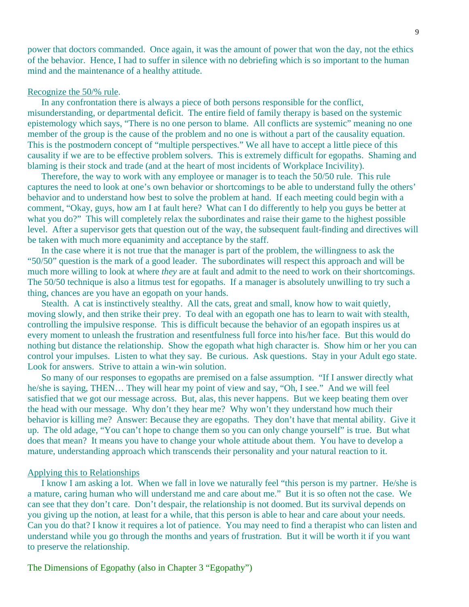power that doctors commanded. Once again, it was the amount of power that won the day, not the ethics of the behavior. Hence, I had to suffer in silence with no debriefing which is so important to the human mind and the maintenance of a healthy attitude.

#### Recognize the 50/% rule.

 In any confrontation there is always a piece of both persons responsible for the conflict, misunderstanding, or departmental deficit. The entire field of family therapy is based on the systemic epistemology which says, "There is no one person to blame. All conflicts are systemic" meaning no one member of the group is the cause of the problem and no one is without a part of the causality equation. This is the postmodern concept of "multiple perspectives." We all have to accept a little piece of this causality if we are to be effective problem solvers. This is extremely difficult for egopaths. Shaming and blaming is their stock and trade (and at the heart of most incidents of Workplace Incivility).

 Therefore, the way to work with any employee or manager is to teach the 50/50 rule. This rule captures the need to look at one's own behavior or shortcomings to be able to understand fully the others' behavior and to understand how best to solve the problem at hand. If each meeting could begin with a comment, "Okay, guys, how am I at fault here? What can I do differently to help you guys be better at what you do?" This will completely relax the subordinates and raise their game to the highest possible level. After a supervisor gets that question out of the way, the subsequent fault-finding and directives will be taken with much more equanimity and acceptance by the staff.

 In the case where it is not true that the manager is part of the problem, the willingness to ask the "50/50" question is the mark of a good leader. The subordinates will respect this approach and will be much more willing to look at where *they* are at fault and admit to the need to work on their shortcomings. The 50/50 technique is also a litmus test for egopaths. If a manager is absolutely unwilling to try such a thing, chances are you have an egopath on your hands.

 Stealth. A cat is instinctively stealthy. All the cats, great and small, know how to wait quietly, moving slowly, and then strike their prey. To deal with an egopath one has to learn to wait with stealth, controlling the impulsive response. This is difficult because the behavior of an egopath inspires us at every moment to unleash the frustration and resentfulness full force into his/her face. But this would do nothing but distance the relationship. Show the egopath what high character is. Show him or her you can control your impulses. Listen to what they say. Be curious. Ask questions. Stay in your Adult ego state. Look for answers. Strive to attain a win-win solution.

 So many of our responses to egopaths are premised on a false assumption. "If I answer directly what he/she is saying, THEN… They will hear my point of view and say, "Oh, I see." And we will feel satisfied that we got our message across. But, alas, this never happens. But we keep beating them over the head with our message. Why don't they hear me? Why won't they understand how much their behavior is killing me? Answer: Because they are egopaths. They don't have that mental ability. Give it up. The old adage, "You can't hope to change them so you can only change yourself" is true. But what does that mean? It means you have to change your whole attitude about them. You have to develop a mature, understanding approach which transcends their personality and your natural reaction to it.

# Applying this to Relationships

 I know I am asking a lot. When we fall in love we naturally feel "this person is my partner. He/she is a mature, caring human who will understand me and care about me." But it is so often not the case. We can see that they don't care. Don't despair, the relationship is not doomed. But its survival depends on you giving up the notion, at least for a while, that this person is able to hear and care about your needs. Can you do that? I know it requires a lot of patience. You may need to find a therapist who can listen and understand while you go through the months and years of frustration. But it will be worth it if you want to preserve the relationship.

The Dimensions of Egopathy (also in Chapter 3 "Egopathy")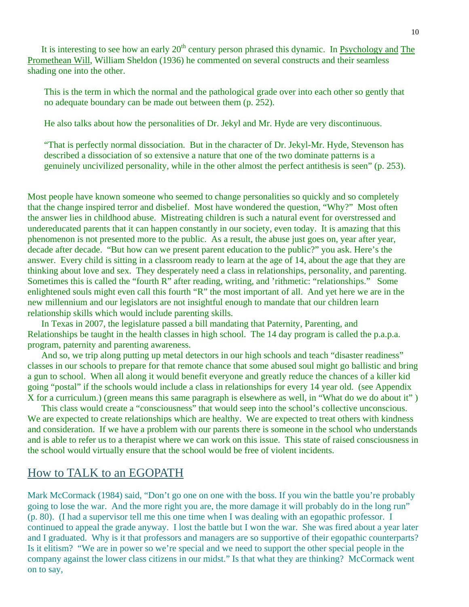It is interesting to see how an early  $20<sup>th</sup>$  century person phrased this dynamic. In Psychology and The Promethean Will, William Sheldon (1936) he commented on several constructs and their seamless shading one into the other.

This is the term in which the normal and the pathological grade over into each other so gently that no adequate boundary can be made out between them (p. 252).

He also talks about how the personalities of Dr. Jekyl and Mr. Hyde are very discontinuous.

"That is perfectly normal dissociation. But in the character of Dr. Jekyl-Mr. Hyde, Stevenson has described a dissociation of so extensive a nature that one of the two dominate patterns is a genuinely uncivilized personality, while in the other almost the perfect antithesis is seen" (p. 253).

Most people have known someone who seemed to change personalities so quickly and so completely that the change inspired terror and disbelief. Most have wondered the question, "Why?" Most often the answer lies in childhood abuse. Mistreating children is such a natural event for overstressed and undereducated parents that it can happen constantly in our society, even today. It is amazing that this phenomenon is not presented more to the public. As a result, the abuse just goes on, year after year, decade after decade. "But how can we present parent education to the public?" you ask. Here's the answer. Every child is sitting in a classroom ready to learn at the age of 14, about the age that they are thinking about love and sex. They desperately need a class in relationships, personality, and parenting. Sometimes this is called the "fourth R" after reading, writing, and 'rithmetic: "relationships." Some enlightened souls might even call this fourth "R" the most important of all. And yet here we are in the new millennium and our legislators are not insightful enough to mandate that our children learn relationship skills which would include parenting skills.

 In Texas in 2007, the legislature passed a bill mandating that Paternity, Parenting, and Relationships be taught in the health classes in high school. The 14 day program is called the p.a.p.a. program, paternity and parenting awareness.

 And so, we trip along putting up metal detectors in our high schools and teach "disaster readiness" classes in our schools to prepare for that remote chance that some abused soul might go ballistic and bring a gun to school. When all along it would benefit everyone and greatly reduce the chances of a killer kid going "postal" if the schools would include a class in relationships for every 14 year old. (see Appendix X for a curriculum.) (green means this same paragraph is elsewhere as well, in "What do we do about it" )

 This class would create a "consciousness" that would seep into the school's collective unconscious. We are expected to create relationships which are healthy. We are expected to treat others with kindness and consideration. If we have a problem with our parents there is someone in the school who understands and is able to refer us to a therapist where we can work on this issue. This state of raised consciousness in the school would virtually ensure that the school would be free of violent incidents.

# How to TALK to an EGOPATH

Mark McCormack (1984) said, "Don't go one on one with the boss. If you win the battle you're probably going to lose the war. And the more right you are, the more damage it will probably do in the long run" (p. 80). (I had a supervisor tell me this one time when I was dealing with an egopathic professor. I continued to appeal the grade anyway. I lost the battle but I won the war. She was fired about a year later and I graduated. Why is it that professors and managers are so supportive of their egopathic counterparts? Is it elitism? "We are in power so we're special and we need to support the other special people in the company against the lower class citizens in our midst." Is that what they are thinking? McCormack went on to say,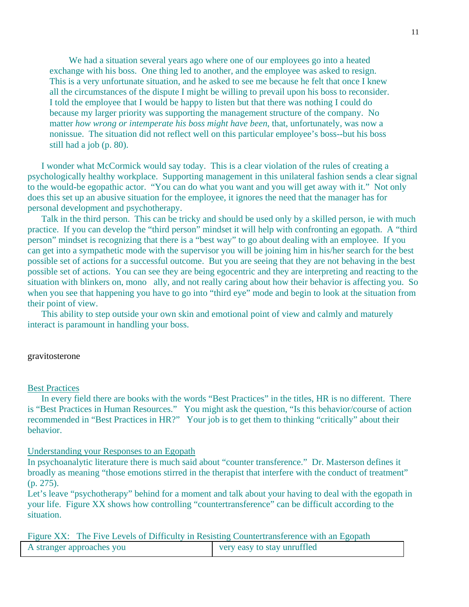We had a situation several years ago where one of our employees go into a heated exchange with his boss. One thing led to another, and the employee was asked to resign. This is a very unfortunate situation, and he asked to see me because he felt that once I knew all the circumstances of the dispute I might be willing to prevail upon his boss to reconsider. I told the employee that I would be happy to listen but that there was nothing I could do because my larger priority was supporting the management structure of the company. No matter *how wrong or intemperate his boss might have been*, that, unfortunately, was now a nonissue. The situation did not reflect well on this particular employee's boss--but his boss still had a job (p. 80).

 I wonder what McCormick would say today. This is a clear violation of the rules of creating a psychologically healthy workplace. Supporting management in this unilateral fashion sends a clear signal to the would-be egopathic actor. "You can do what you want and you will get away with it." Not only does this set up an abusive situation for the employee, it ignores the need that the manager has for personal development and psychotherapy.

 Talk in the third person. This can be tricky and should be used only by a skilled person, ie with much practice. If you can develop the "third person" mindset it will help with confronting an egopath. A "third person" mindset is recognizing that there is a "best way" to go about dealing with an employee. If you can get into a sympathetic mode with the supervisor you will be joining him in his/her search for the best possible set of actions for a successful outcome. But you are seeing that they are not behaving in the best possible set of actions. You can see they are being egocentric and they are interpreting and reacting to the situation with blinkers on, mono ally, and not really caring about how their behavior is affecting you. So when you see that happening you have to go into "third eye" mode and begin to look at the situation from their point of view.

 This ability to step outside your own skin and emotional point of view and calmly and maturely interact is paramount in handling your boss.

### gravitosterone

#### Best Practices

 In every field there are books with the words "Best Practices" in the titles, HR is no different. There is "Best Practices in Human Resources." You might ask the question, "Is this behavior/course of action recommended in "Best Practices in HR?" Your job is to get them to thinking "critically" about their behavior.

#### Understanding your Responses to an Egopath

In psychoanalytic literature there is much said about "counter transference." Dr. Masterson defines it broadly as meaning "those emotions stirred in the therapist that interfere with the conduct of treatment" (p. 275).

Let's leave "psychotherapy" behind for a moment and talk about your having to deal with the egopath in your life. Figure XX shows how controlling "countertransference" can be difficult according to the situation.

Figure XX: The Five Levels of Difficulty in Resisting Countertransference with an Egopath

| A stranger approaches you |  | very easy to stay unruffled |  |
|---------------------------|--|-----------------------------|--|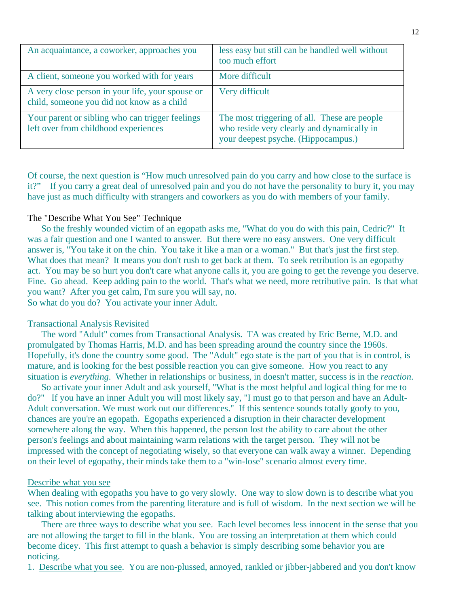| An acquaintance, a coworker, approaches you                                                    | less easy but still can be handled well without<br>too much effort                                                                |
|------------------------------------------------------------------------------------------------|-----------------------------------------------------------------------------------------------------------------------------------|
| A client, someone you worked with for years                                                    | More difficult                                                                                                                    |
| A very close person in your life, your spouse or<br>child, someone you did not know as a child | Very difficult                                                                                                                    |
| Your parent or sibling who can trigger feelings<br>left over from childhood experiences        | The most triggering of all. These are people<br>who reside very clearly and dynamically in<br>your deepest psyche. (Hippocampus.) |

Of course, the next question is "How much unresolved pain do you carry and how close to the surface is it?" If you carry a great deal of unresolved pain and you do not have the personality to bury it, you may have just as much difficulty with strangers and coworkers as you do with members of your family.

## The "Describe What You See" Technique

 So the freshly wounded victim of an egopath asks me, "What do you do with this pain, Cedric?" It was a fair question and one I wanted to answer. But there were no easy answers. One very difficult answer is, "You take it on the chin. You take it like a man or a woman." But that's just the first step. What does that mean? It means you don't rush to get back at them. To seek retribution is an egopathy act. You may be so hurt you don't care what anyone calls it, you are going to get the revenge you deserve. Fine. Go ahead. Keep adding pain to the world. That's what we need, more retributive pain. Is that what you want? After you get calm, I'm sure you will say, no. So what do you do? You activate your inner Adult.

### Transactional Analysis Revisited

 The word "Adult" comes from Transactional Analysis. TA was created by Eric Berne, M.D. and promulgated by Thomas Harris, M.D. and has been spreading around the country since the 1960s. Hopefully, it's done the country some good. The "Adult" ego state is the part of you that is in control, is mature, and is looking for the best possible reaction you can give someone. How you react to any situation is *everything*. Whether in relationships or business, in doesn't matter, success is in the *reaction*.

 So activate your inner Adult and ask yourself, "What is the most helpful and logical thing for me to do?" If you have an inner Adult you will most likely say, "I must go to that person and have an Adult-Adult conversation. We must work out our differences." If this sentence sounds totally goofy to you, chances are you're an egopath. Egopaths experienced a disruption in their character development somewhere along the way. When this happened, the person lost the ability to care about the other person's feelings and about maintaining warm relations with the target person. They will not be impressed with the concept of negotiating wisely, so that everyone can walk away a winner. Depending on their level of egopathy, their minds take them to a "win-lose" scenario almost every time.

### Describe what you see

When dealing with egopaths you have to go very slowly. One way to slow down is to describe what you see. This notion comes from the parenting literature and is full of wisdom. In the next section we will be talking about interviewing the egopaths.

 There are three ways to describe what you see. Each level becomes less innocent in the sense that you are not allowing the target to fill in the blank. You are tossing an interpretation at them which could become dicey. This first attempt to quash a behavior is simply describing some behavior you are noticing.

1. Describe what you see. You are non-plussed, annoyed, rankled or jibber-jabbered and you don't know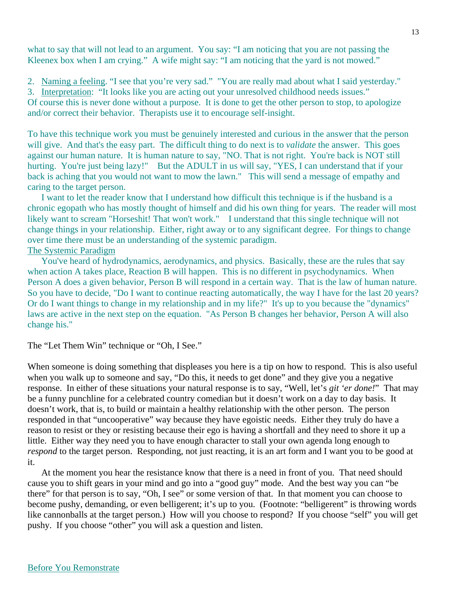what to say that will not lead to an argument. You say: "I am noticing that you are not passing the Kleenex box when I am crying." A wife might say: "I am noticing that the yard is not mowed."

2. Naming a feeling. "I see that you're very sad." "You are really mad about what I said yesterday." 3. Interpretation: "It looks like you are acting out your unresolved childhood needs issues." Of course this is never done without a purpose. It is done to get the other person to stop, to apologize

and/or correct their behavior. Therapists use it to encourage self-insight.

To have this technique work you must be genuinely interested and curious in the answer that the person will give. And that's the easy part. The difficult thing to do next is to *validate* the answer. This goes against our human nature. It is human nature to say, "NO. That is not right. You're back is NOT still hurting. You're just being lazy!" But the ADULT in us will say, "YES, I can understand that if your back is aching that you would not want to mow the lawn." This will send a message of empathy and caring to the target person.

 I want to let the reader know that I understand how difficult this technique is if the husband is a chronic egopath who has mostly thought of himself and did his own thing for years. The reader will most likely want to scream "Horseshit! That won't work." I understand that this single technique will not change things in your relationship. Either, right away or to any significant degree. For things to change over time there must be an understanding of the systemic paradigm. The Systemic Paradigm

 You've heard of hydrodynamics, aerodynamics, and physics. Basically, these are the rules that say when action A takes place, Reaction B will happen. This is no different in psychodynamics. When Person A does a given behavior, Person B will respond in a certain way. That is the law of human nature. So you have to decide, "Do I want to continue reacting automatically, the way I have for the last 20 years? Or do I want things to change in my relationship and in my life?" It's up to you because the "dynamics" laws are active in the next step on the equation. "As Person B changes her behavior, Person A will also change his."

The "Let Them Win" technique or "Oh, I See."

When someone is doing something that displeases you here is a tip on how to respond. This is also useful when you walk up to someone and say, "Do this, it needs to get done" and they give you a negative response. In either of these situations your natural response is to say, "Well, let's *git 'er done!*" That may be a funny punchline for a celebrated country comedian but it doesn't work on a day to day basis. It doesn't work, that is, to build or maintain a healthy relationship with the other person. The person responded in that "uncooperative" way because they have egoistic needs. Either they truly do have a reason to resist or they or resisting because their ego is having a shortfall and they need to shore it up a little. Either way they need you to have enough character to stall your own agenda long enough to *respond* to the target person. Responding, not just reacting, it is an art form and I want you to be good at it.

 At the moment you hear the resistance know that there is a need in front of you. That need should cause you to shift gears in your mind and go into a "good guy" mode. And the best way you can "be there" for that person is to say, "Oh, I see" or some version of that. In that moment you can choose to become pushy, demanding, or even belligerent; it's up to you. (Footnote: "belligerent" is throwing words like cannonballs at the target person.) How will you choose to respond? If you choose "self" you will get pushy. If you choose "other" you will ask a question and listen.